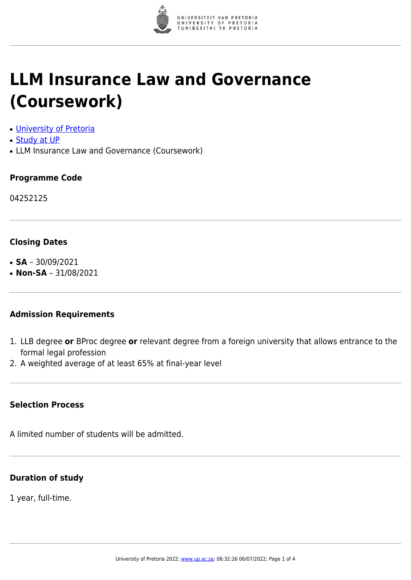

# **LLM Insurance Law and Governance (Coursework)**

- [University of Pretoria](https://www.up.ac.za/home)
- [Study at UP](https://www.up.ac.za/programmes)
- LLM Insurance Law and Governance (Coursework)

#### **Programme Code**

04252125

#### **Closing Dates**

- $\cdot$  **SA** 30/09/2021
- $\cdot$  **Non-SA** 31/08/2021

#### **Admission Requirements**

- 1. LLB degree **or** BProc degree **or** relevant degree from a foreign university that allows entrance to the formal legal profession
- 2. A weighted average of at least 65% at final-year level

#### **Selection Process**

A limited number of students will be admitted.

#### **Duration of study**

1 year, full-time.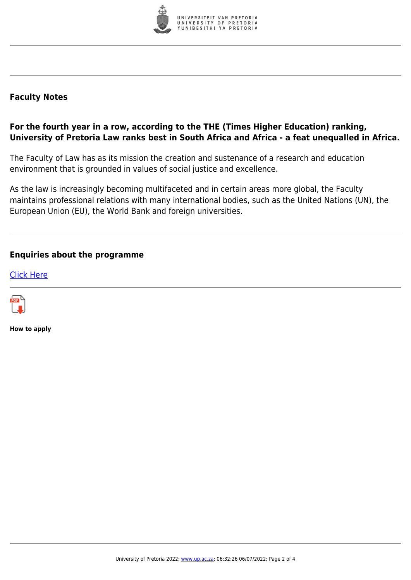

### **Faculty Notes**

## **For the fourth year in a row, according to the THE (Times Higher Education) ranking, University of Pretoria Law ranks best in South Africa and Africa - a feat unequalled in Africa.**

The Faculty of Law has as its mission the creation and sustenance of a research and education environment that is grounded in values of social justice and excellence.

As the law is increasingly becoming multifaceted and in certain areas more global, the Faculty maintains professional relations with many international bodies, such as the United Nations (UN), the European Union (EU), the World Bank and foreign universities.

#### **Enquiries about the programme**

[Click Here](https://www.up.ac.za/postgraduate-students)



**How to apply**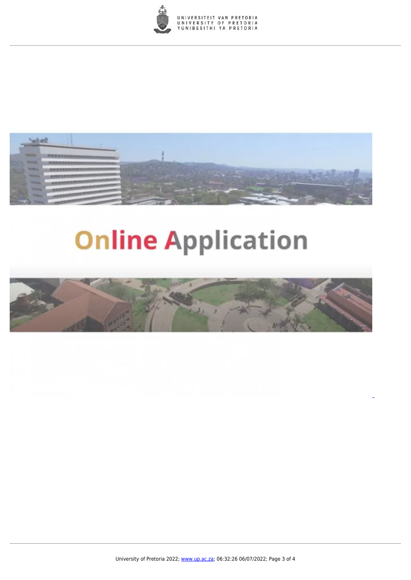



# **Online Application**